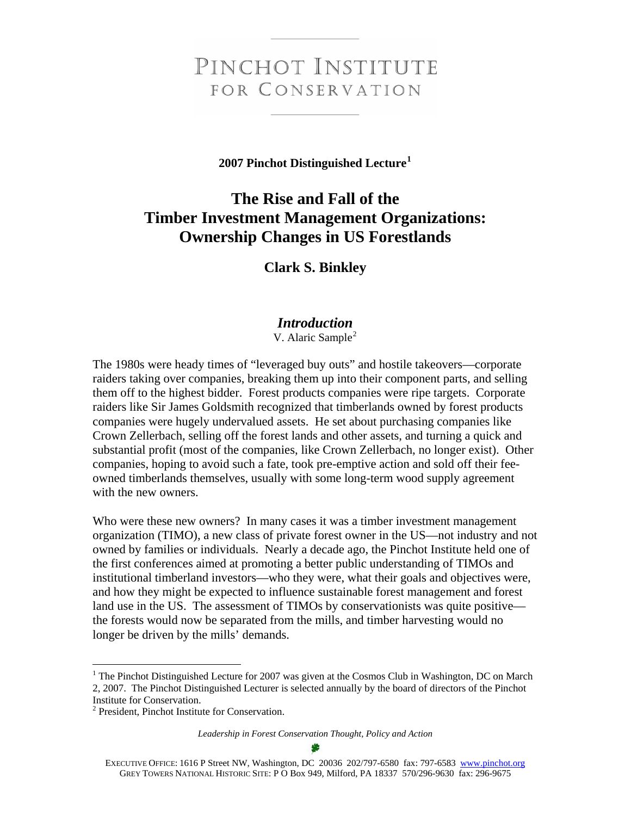# PINCHOT INSTITUTE FOR CONSERVATION

**2007 Pinchot Distinguished Lecture[1](#page-0-0)**

# **The Rise and Fall of the Timber Investment Management Organizations: Ownership Changes in US Forestlands**

**Clark S. Binkley** 

## *Introduction*

V. Alaric Sample<sup>[2](#page-0-1)</sup>

The 1980s were heady times of "leveraged buy outs" and hostile takeovers—corporate raiders taking over companies, breaking them up into their component parts, and selling them off to the highest bidder. Forest products companies were ripe targets. Corporate raiders like Sir James Goldsmith recognized that timberlands owned by forest products companies were hugely undervalued assets. He set about purchasing companies like Crown Zellerbach, selling off the forest lands and other assets, and turning a quick and substantial profit (most of the companies, like Crown Zellerbach, no longer exist). Other companies, hoping to avoid such a fate, took pre-emptive action and sold off their feeowned timberlands themselves, usually with some long-term wood supply agreement with the new owners.

Who were these new owners? In many cases it was a timber investment management organization (TIMO), a new class of private forest owner in the US—not industry and not owned by families or individuals. Nearly a decade ago, the Pinchot Institute held one of the first conferences aimed at promoting a better public understanding of TIMOs and institutional timberland investors—who they were, what their goals and objectives were, and how they might be expected to influence sustainable forest management and forest land use in the US. The assessment of TIMOs by conservationists was quite positive the forests would now be separated from the mills, and timber harvesting would no longer be driven by the mills' demands.

 $\overline{a}$ 

<span id="page-0-0"></span><sup>&</sup>lt;sup>1</sup> The Pinchot Distinguished Lecture for 2007 was given at the Cosmos Club in Washington, DC on March 2, 2007. The Pinchot Distinguished Lecturer is selected annually by the board of directors of the Pinchot Institute for Conservation.

<span id="page-0-1"></span><sup>2</sup> President, Pinchot Institute for Conservation.

*Leadership in Forest Conservation Thought, Policy and Action* 

EXECUTIVE OFFICE: 1616 P Street NW, Washington, DC 20036 202/797-6580 fax: 797-6583 www.pinchot.org GREY TOWERS NATIONAL HISTORIC SITE: P O Box 949, Milford, PA 18337 570/296-9630 fax: 296-9675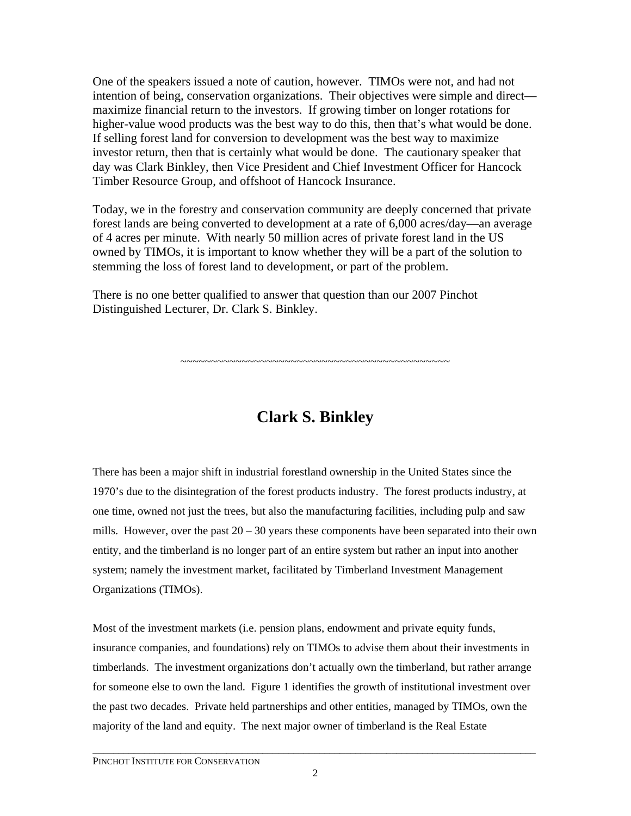One of the speakers issued a note of caution, however. TIMOs were not, and had not intention of being, conservation organizations. Their objectives were simple and direct maximize financial return to the investors. If growing timber on longer rotations for higher-value wood products was the best way to do this, then that's what would be done. If selling forest land for conversion to development was the best way to maximize investor return, then that is certainly what would be done. The cautionary speaker that day was Clark Binkley, then Vice President and Chief Investment Officer for Hancock Timber Resource Group, and offshoot of Hancock Insurance.

Today, we in the forestry and conservation community are deeply concerned that private forest lands are being converted to development at a rate of 6,000 acres/day—an average of 4 acres per minute. With nearly 50 million acres of private forest land in the US owned by TIMOs, it is important to know whether they will be a part of the solution to stemming the loss of forest land to development, or part of the problem.

There is no one better qualified to answer that question than our 2007 Pinchot Distinguished Lecturer, Dr. Clark S. Binkley.

~~~~~~~~~~~~~~~~~~~~~~~~~~~~~~~~~~~~~~~~~~~~

# **Clark S. Binkley**

There has been a major shift in industrial forestland ownership in the United States since the 1970's due to the disintegration of the forest products industry. The forest products industry, at one time, owned not just the trees, but also the manufacturing facilities, including pulp and saw mills. However, over the past  $20 - 30$  years these components have been separated into their own entity, and the timberland is no longer part of an entire system but rather an input into another system; namely the investment market, facilitated by Timberland Investment Management Organizations (TIMOs).

Most of the investment markets (i.e. pension plans, endowment and private equity funds, insurance companies, and foundations) rely on TIMOs to advise them about their investments in timberlands. The investment organizations don't actually own the timberland, but rather arrange for someone else to own the land. Figure 1 identifies the growth of institutional investment over the past two decades. Private held partnerships and other entities, managed by TIMOs, own the majority of the land and equity. The next major owner of timberland is the Real Estate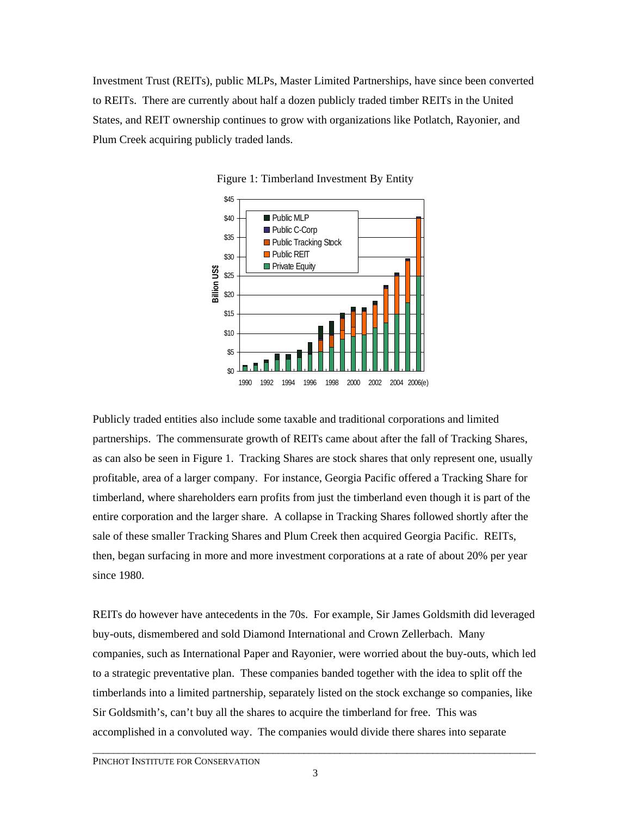Investment Trust (REITs), public MLPs, Master Limited Partnerships, have since been converted to REITs. There are currently about half a dozen publicly traded timber REITs in the United States, and REIT ownership continues to grow with organizations like Potlatch, Rayonier, and Plum Creek acquiring publicly traded lands.





Publicly traded entities also include some taxable and traditional corporations and limited partnerships. The commensurate growth of REITs came about after the fall of Tracking Shares, as can also be seen in Figure 1. Tracking Shares are stock shares that only represent one, usually profitable, area of a larger company. For instance, Georgia Pacific offered a Tracking Share for timberland, where shareholders earn profits from just the timberland even though it is part of the entire corporation and the larger share. A collapse in Tracking Shares followed shortly after the sale of these smaller Tracking Shares and Plum Creek then acquired Georgia Pacific. REITs, then, began surfacing in more and more investment corporations at a rate of about 20% per year since 1980.

REITs do however have antecedents in the 70s. For example, Sir James Goldsmith did leveraged buy-outs, dismembered and sold Diamond International and Crown Zellerbach. Many companies, such as International Paper and Rayonier, were worried about the buy-outs, which led to a strategic preventative plan. These companies banded together with the idea to split off the timberlands into a limited partnership, separately listed on the stock exchange so companies, like Sir Goldsmith's, can't buy all the shares to acquire the timberland for free. This was accomplished in a convoluted way. The companies would divide there shares into separate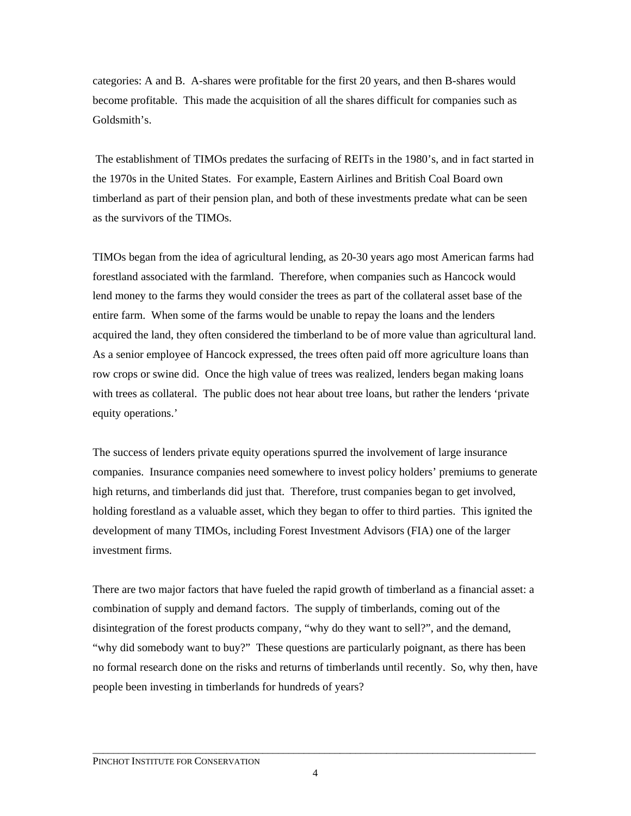categories: A and B. A-shares were profitable for the first 20 years, and then B-shares would become profitable. This made the acquisition of all the shares difficult for companies such as Goldsmith's.

 The establishment of TIMOs predates the surfacing of REITs in the 1980's, and in fact started in the 1970s in the United States. For example, Eastern Airlines and British Coal Board own timberland as part of their pension plan, and both of these investments predate what can be seen as the survivors of the TIMOs.

TIMOs began from the idea of agricultural lending, as 20-30 years ago most American farms had forestland associated with the farmland. Therefore, when companies such as Hancock would lend money to the farms they would consider the trees as part of the collateral asset base of the entire farm. When some of the farms would be unable to repay the loans and the lenders acquired the land, they often considered the timberland to be of more value than agricultural land. As a senior employee of Hancock expressed, the trees often paid off more agriculture loans than row crops or swine did. Once the high value of trees was realized, lenders began making loans with trees as collateral. The public does not hear about tree loans, but rather the lenders 'private equity operations.'

The success of lenders private equity operations spurred the involvement of large insurance companies. Insurance companies need somewhere to invest policy holders' premiums to generate high returns, and timberlands did just that. Therefore, trust companies began to get involved, holding forestland as a valuable asset, which they began to offer to third parties. This ignited the development of many TIMOs, including Forest Investment Advisors (FIA) one of the larger investment firms.

There are two major factors that have fueled the rapid growth of timberland as a financial asset: a combination of supply and demand factors. The supply of timberlands, coming out of the disintegration of the forest products company, "why do they want to sell?", and the demand, "why did somebody want to buy?" These questions are particularly poignant, as there has been no formal research done on the risks and returns of timberlands until recently. So, why then, have people been investing in timberlands for hundreds of years?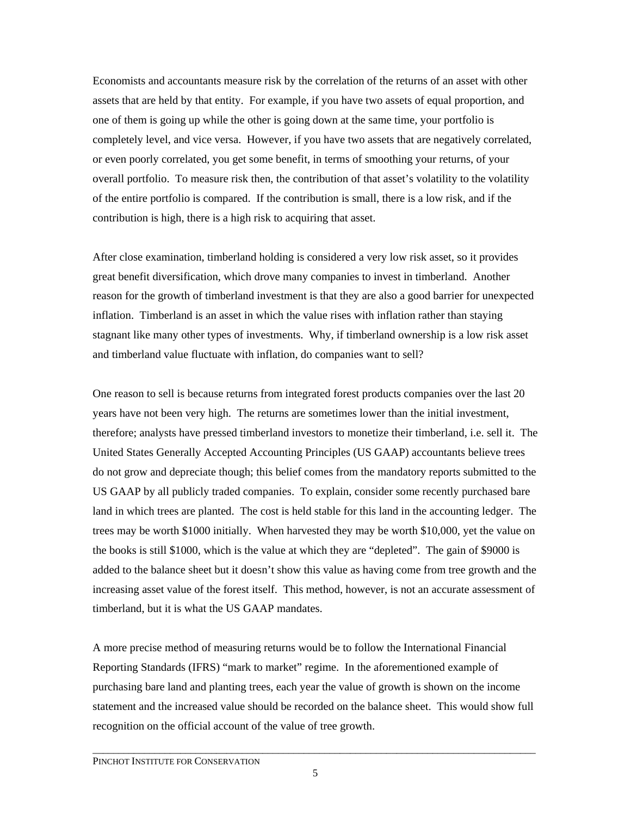Economists and accountants measure risk by the correlation of the returns of an asset with other assets that are held by that entity. For example, if you have two assets of equal proportion, and one of them is going up while the other is going down at the same time, your portfolio is completely level, and vice versa. However, if you have two assets that are negatively correlated, or even poorly correlated, you get some benefit, in terms of smoothing your returns, of your overall portfolio. To measure risk then, the contribution of that asset's volatility to the volatility of the entire portfolio is compared. If the contribution is small, there is a low risk, and if the contribution is high, there is a high risk to acquiring that asset.

After close examination, timberland holding is considered a very low risk asset, so it provides great benefit diversification, which drove many companies to invest in timberland. Another reason for the growth of timberland investment is that they are also a good barrier for unexpected inflation. Timberland is an asset in which the value rises with inflation rather than staying stagnant like many other types of investments. Why, if timberland ownership is a low risk asset and timberland value fluctuate with inflation, do companies want to sell?

One reason to sell is because returns from integrated forest products companies over the last 20 years have not been very high. The returns are sometimes lower than the initial investment, therefore; analysts have pressed timberland investors to monetize their timberland, i.e. sell it. The United States Generally Accepted Accounting Principles (US GAAP) accountants believe trees do not grow and depreciate though; this belief comes from the mandatory reports submitted to the US GAAP by all publicly traded companies. To explain, consider some recently purchased bare land in which trees are planted. The cost is held stable for this land in the accounting ledger. The trees may be worth \$1000 initially. When harvested they may be worth \$10,000, yet the value on the books is still \$1000, which is the value at which they are "depleted". The gain of \$9000 is added to the balance sheet but it doesn't show this value as having come from tree growth and the increasing asset value of the forest itself. This method, however, is not an accurate assessment of timberland, but it is what the US GAAP mandates.

A more precise method of measuring returns would be to follow the International Financial Reporting Standards (IFRS) "mark to market" regime. In the aforementioned example of purchasing bare land and planting trees, each year the value of growth is shown on the income statement and the increased value should be recorded on the balance sheet. This would show full recognition on the official account of the value of tree growth.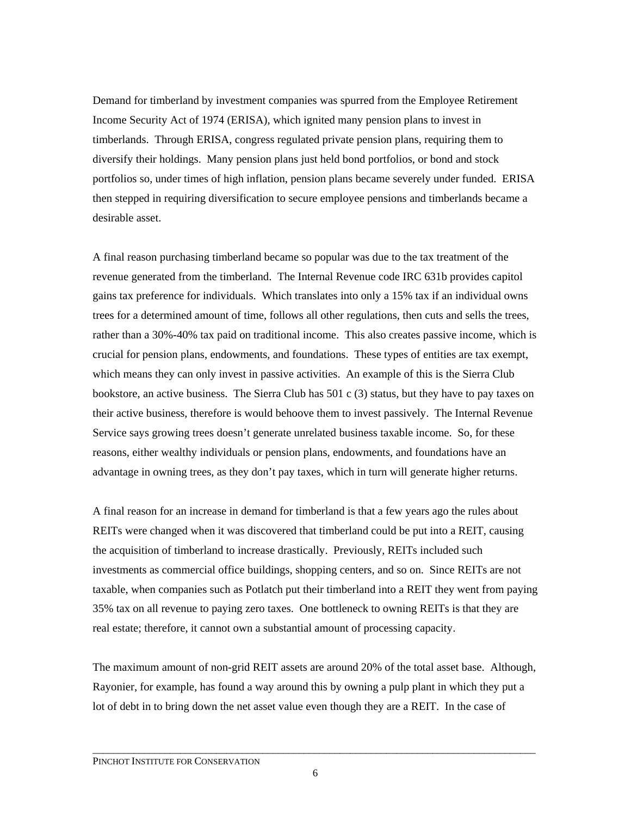Demand for timberland by investment companies was spurred from the Employee Retirement Income Security Act of 1974 (ERISA), which ignited many pension plans to invest in timberlands. Through ERISA, congress regulated private pension plans, requiring them to diversify their holdings. Many pension plans just held bond portfolios, or bond and stock portfolios so, under times of high inflation, pension plans became severely under funded. ERISA then stepped in requiring diversification to secure employee pensions and timberlands became a desirable asset.

A final reason purchasing timberland became so popular was due to the tax treatment of the revenue generated from the timberland. The Internal Revenue code IRC 631b provides capitol gains tax preference for individuals. Which translates into only a 15% tax if an individual owns trees for a determined amount of time, follows all other regulations, then cuts and sells the trees, rather than a 30%-40% tax paid on traditional income. This also creates passive income, which is crucial for pension plans, endowments, and foundations. These types of entities are tax exempt, which means they can only invest in passive activities. An example of this is the Sierra Club bookstore, an active business. The Sierra Club has 501 c (3) status, but they have to pay taxes on their active business, therefore is would behoove them to invest passively. The Internal Revenue Service says growing trees doesn't generate unrelated business taxable income. So, for these reasons, either wealthy individuals or pension plans, endowments, and foundations have an advantage in owning trees, as they don't pay taxes, which in turn will generate higher returns.

A final reason for an increase in demand for timberland is that a few years ago the rules about REITs were changed when it was discovered that timberland could be put into a REIT, causing the acquisition of timberland to increase drastically. Previously, REITs included such investments as commercial office buildings, shopping centers, and so on. Since REITs are not taxable, when companies such as Potlatch put their timberland into a REIT they went from paying 35% tax on all revenue to paying zero taxes. One bottleneck to owning REITs is that they are real estate; therefore, it cannot own a substantial amount of processing capacity.

The maximum amount of non-grid REIT assets are around 20% of the total asset base. Although, Rayonier, for example, has found a way around this by owning a pulp plant in which they put a lot of debt in to bring down the net asset value even though they are a REIT. In the case of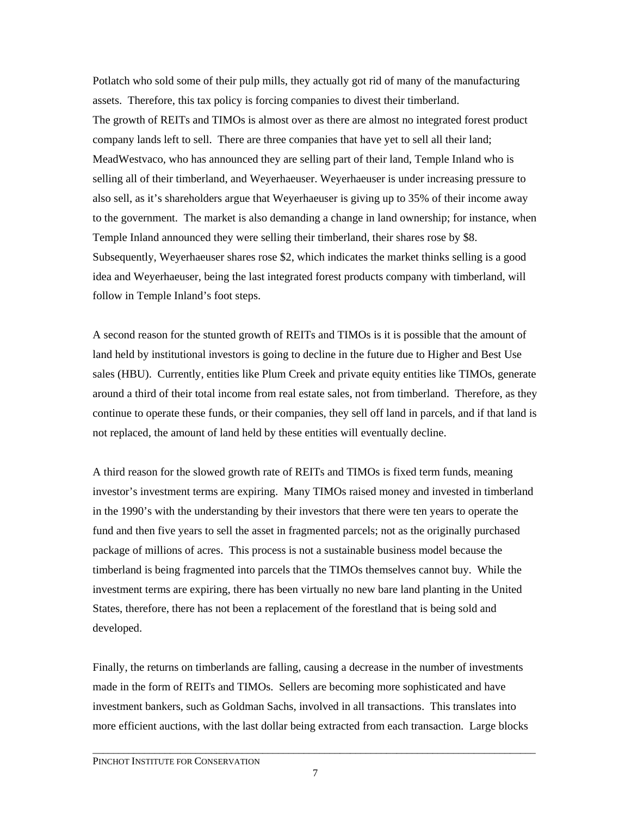Potlatch who sold some of their pulp mills, they actually got rid of many of the manufacturing assets. Therefore, this tax policy is forcing companies to divest their timberland. The growth of REITs and TIMOs is almost over as there are almost no integrated forest product company lands left to sell. There are three companies that have yet to sell all their land; MeadWestvaco, who has announced they are selling part of their land, Temple Inland who is selling all of their timberland, and Weyerhaeuser. Weyerhaeuser is under increasing pressure to also sell, as it's shareholders argue that Weyerhaeuser is giving up to 35% of their income away to the government. The market is also demanding a change in land ownership; for instance, when Temple Inland announced they were selling their timberland, their shares rose by \$8. Subsequently, Weyerhaeuser shares rose \$2, which indicates the market thinks selling is a good idea and Weyerhaeuser, being the last integrated forest products company with timberland, will follow in Temple Inland's foot steps.

A second reason for the stunted growth of REITs and TIMOs is it is possible that the amount of land held by institutional investors is going to decline in the future due to Higher and Best Use sales (HBU). Currently, entities like Plum Creek and private equity entities like TIMOs, generate around a third of their total income from real estate sales, not from timberland. Therefore, as they continue to operate these funds, or their companies, they sell off land in parcels, and if that land is not replaced, the amount of land held by these entities will eventually decline.

A third reason for the slowed growth rate of REITs and TIMOs is fixed term funds, meaning investor's investment terms are expiring. Many TIMOs raised money and invested in timberland in the 1990's with the understanding by their investors that there were ten years to operate the fund and then five years to sell the asset in fragmented parcels; not as the originally purchased package of millions of acres. This process is not a sustainable business model because the timberland is being fragmented into parcels that the TIMOs themselves cannot buy. While the investment terms are expiring, there has been virtually no new bare land planting in the United States, therefore, there has not been a replacement of the forestland that is being sold and developed.

Finally, the returns on timberlands are falling, causing a decrease in the number of investments made in the form of REITs and TIMOs. Sellers are becoming more sophisticated and have investment bankers, such as Goldman Sachs, involved in all transactions. This translates into more efficient auctions, with the last dollar being extracted from each transaction. Large blocks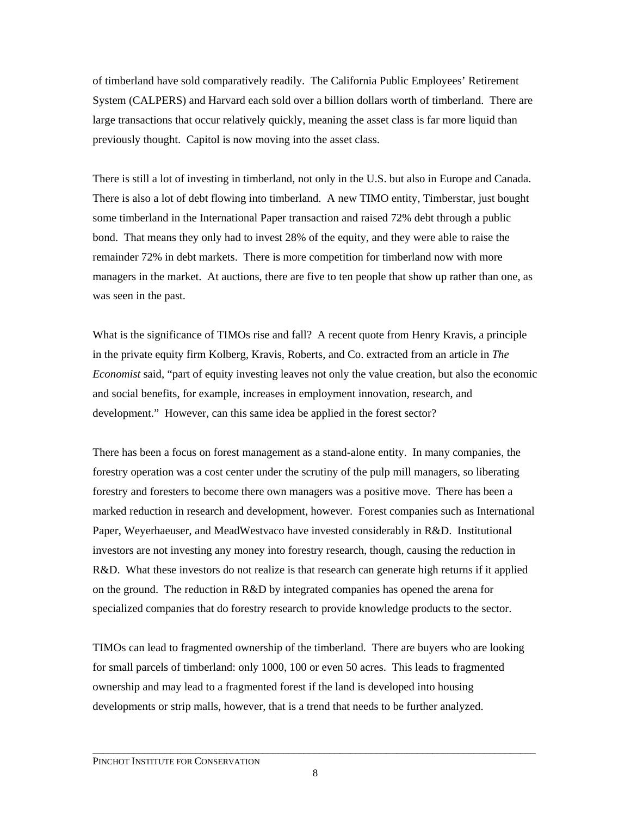of timberland have sold comparatively readily. The California Public Employees' Retirement System (CALPERS) and Harvard each sold over a billion dollars worth of timberland. There are large transactions that occur relatively quickly, meaning the asset class is far more liquid than previously thought. Capitol is now moving into the asset class.

There is still a lot of investing in timberland, not only in the U.S. but also in Europe and Canada. There is also a lot of debt flowing into timberland. A new TIMO entity, Timberstar, just bought some timberland in the International Paper transaction and raised 72% debt through a public bond. That means they only had to invest 28% of the equity, and they were able to raise the remainder 72% in debt markets. There is more competition for timberland now with more managers in the market. At auctions, there are five to ten people that show up rather than one, as was seen in the past.

What is the significance of TIMOs rise and fall? A recent quote from Henry Kravis, a principle in the private equity firm Kolberg, Kravis, Roberts, and Co. extracted from an article in *The Economist* said, "part of equity investing leaves not only the value creation, but also the economic and social benefits, for example, increases in employment innovation, research, and development." However, can this same idea be applied in the forest sector?

There has been a focus on forest management as a stand-alone entity. In many companies, the forestry operation was a cost center under the scrutiny of the pulp mill managers, so liberating forestry and foresters to become there own managers was a positive move. There has been a marked reduction in research and development, however. Forest companies such as International Paper, Weyerhaeuser, and MeadWestvaco have invested considerably in R&D. Institutional investors are not investing any money into forestry research, though, causing the reduction in R&D. What these investors do not realize is that research can generate high returns if it applied on the ground. The reduction in R&D by integrated companies has opened the arena for specialized companies that do forestry research to provide knowledge products to the sector.

TIMOs can lead to fragmented ownership of the timberland. There are buyers who are looking for small parcels of timberland: only 1000, 100 or even 50 acres. This leads to fragmented ownership and may lead to a fragmented forest if the land is developed into housing developments or strip malls, however, that is a trend that needs to be further analyzed.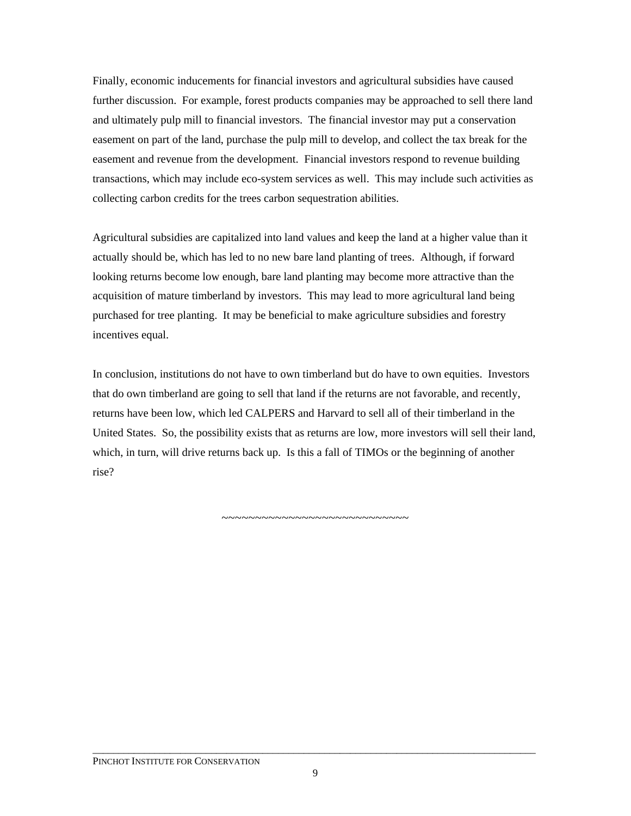Finally, economic inducements for financial investors and agricultural subsidies have caused further discussion. For example, forest products companies may be approached to sell there land and ultimately pulp mill to financial investors. The financial investor may put a conservation easement on part of the land, purchase the pulp mill to develop, and collect the tax break for the easement and revenue from the development. Financial investors respond to revenue building transactions, which may include eco-system services as well. This may include such activities as collecting carbon credits for the trees carbon sequestration abilities.

Agricultural subsidies are capitalized into land values and keep the land at a higher value than it actually should be, which has led to no new bare land planting of trees. Although, if forward looking returns become low enough, bare land planting may become more attractive than the acquisition of mature timberland by investors. This may lead to more agricultural land being purchased for tree planting. It may be beneficial to make agriculture subsidies and forestry incentives equal.

In conclusion, institutions do not have to own timberland but do have to own equities. Investors that do own timberland are going to sell that land if the returns are not favorable, and recently, returns have been low, which led CALPERS and Harvard to sell all of their timberland in the United States. So, the possibility exists that as returns are low, more investors will sell their land, which, in turn, will drive returns back up. Is this a fall of TIMOs or the beginning of another rise?

~~~~~~~~~~~~~~~~~~~~~~~~~~~~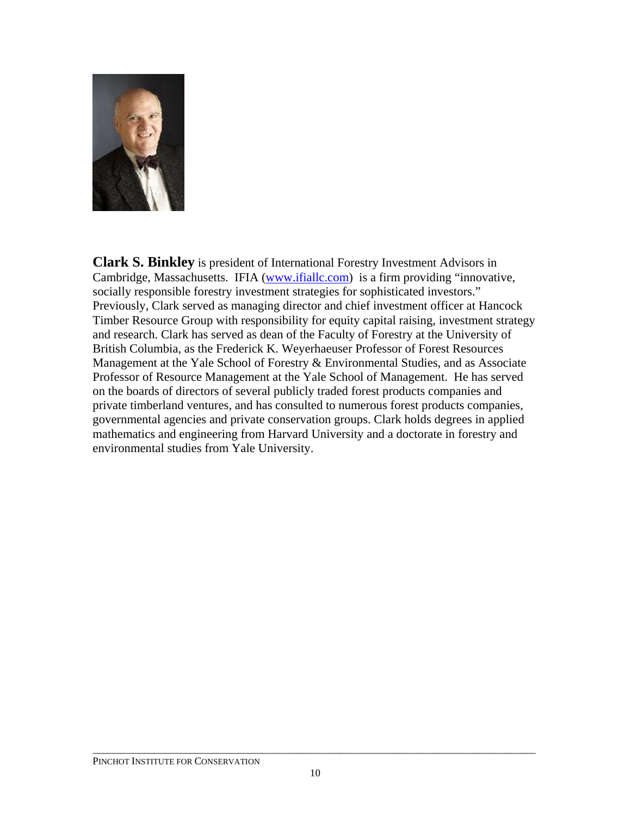

**Clark S. Binkley** is president of International Forestry Investment Advisors in Cambridge, Massachusetts. IFIA [\(www.ifiallc.com\)](http://www.ifiallc.com/) is a firm providing "innovative, socially responsible forestry investment strategies for sophisticated investors." Previously, Clark served as managing director and chief investment officer at Hancock Timber Resource Group with responsibility for equity capital raising, investment strategy and research. Clark has served as dean of the Faculty of Forestry at the University of British Columbia, as the Frederick K. Weyerhaeuser Professor of Forest Resources Management at the Yale School of Forestry & Environmental Studies, and as Associate Professor of Resource Management at the Yale School of Management. He has served on the boards of directors of several publicly traded forest products companies and private timberland ventures, and has consulted to numerous forest products companies, governmental agencies and private conservation groups. Clark holds degrees in applied mathematics and engineering from Harvard University and a doctorate in forestry and environmental studies from Yale University.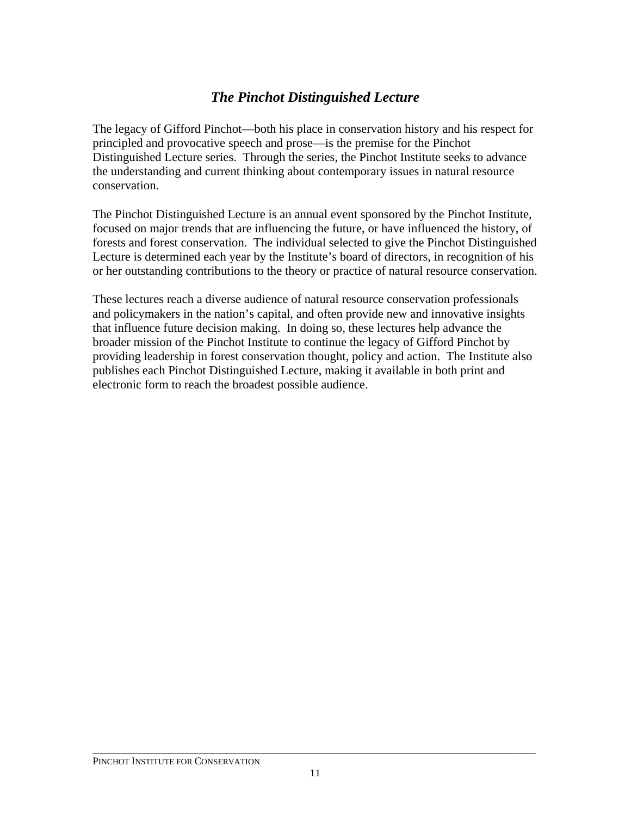### *The Pinchot Distinguished Lecture*

The legacy of Gifford Pinchot—both his place in conservation history and his respect for principled and provocative speech and prose—is the premise for the Pinchot Distinguished Lecture series. Through the series, the Pinchot Institute seeks to advance the understanding and current thinking about contemporary issues in natural resource conservation.

The Pinchot Distinguished Lecture is an annual event sponsored by the Pinchot Institute, focused on major trends that are influencing the future, or have influenced the history, of forests and forest conservation. The individual selected to give the Pinchot Distinguished Lecture is determined each year by the Institute's board of directors, in recognition of his or her outstanding contributions to the theory or practice of natural resource conservation.

These lectures reach a diverse audience of natural resource conservation professionals and policymakers in the nation's capital, and often provide new and innovative insights that influence future decision making. In doing so, these lectures help advance the broader mission of the Pinchot Institute to continue the legacy of Gifford Pinchot by providing leadership in forest conservation thought, policy and action. The Institute also publishes each Pinchot Distinguished Lecture, making it available in both print and electronic form to reach the broadest possible audience.